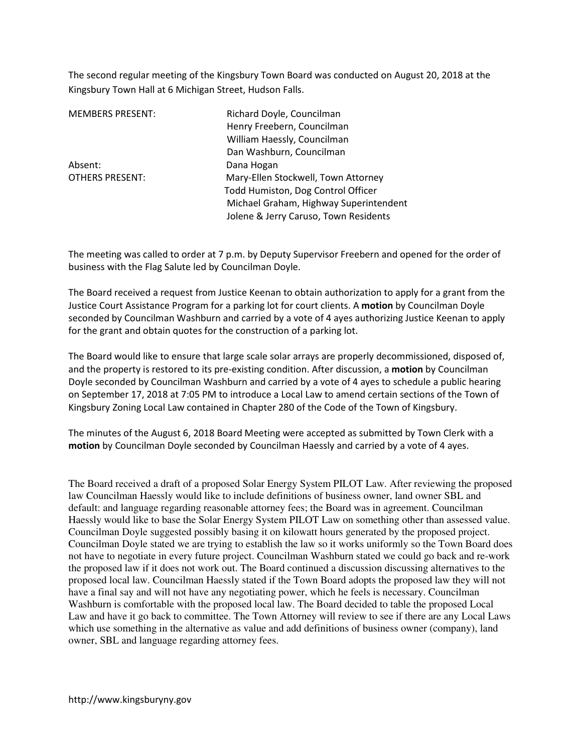The second regular meeting of the Kingsbury Town Board was conducted on August 20, 2018 at the Kingsbury Town Hall at 6 Michigan Street, Hudson Falls.

| <b>MEMBERS PRESENT:</b> | Richard Doyle, Councilman              |
|-------------------------|----------------------------------------|
|                         | Henry Freebern, Councilman             |
|                         | William Haessly, Councilman            |
|                         | Dan Washburn, Councilman               |
| Absent:                 | Dana Hogan                             |
| <b>OTHERS PRESENT:</b>  | Mary-Ellen Stockwell, Town Attorney    |
|                         | Todd Humiston, Dog Control Officer     |
|                         | Michael Graham, Highway Superintendent |
|                         | Jolene & Jerry Caruso, Town Residents  |

The meeting was called to order at 7 p.m. by Deputy Supervisor Freebern and opened for the order of business with the Flag Salute led by Councilman Doyle.

The Board received a request from Justice Keenan to obtain authorization to apply for a grant from the Justice Court Assistance Program for a parking lot for court clients. A motion by Councilman Doyle seconded by Councilman Washburn and carried by a vote of 4 ayes authorizing Justice Keenan to apply for the grant and obtain quotes for the construction of a parking lot.

The Board would like to ensure that large scale solar arrays are properly decommissioned, disposed of, and the property is restored to its pre-existing condition. After discussion, a motion by Councilman Doyle seconded by Councilman Washburn and carried by a vote of 4 ayes to schedule a public hearing on September 17, 2018 at 7:05 PM to introduce a Local Law to amend certain sections of the Town of Kingsbury Zoning Local Law contained in Chapter 280 of the Code of the Town of Kingsbury.

The minutes of the August 6, 2018 Board Meeting were accepted as submitted by Town Clerk with a motion by Councilman Doyle seconded by Councilman Haessly and carried by a vote of 4 ayes.

The Board received a draft of a proposed Solar Energy System PILOT Law. After reviewing the proposed law Councilman Haessly would like to include definitions of business owner, land owner SBL and default: and language regarding reasonable attorney fees; the Board was in agreement. Councilman Haessly would like to base the Solar Energy System PILOT Law on something other than assessed value. Councilman Doyle suggested possibly basing it on kilowatt hours generated by the proposed project. Councilman Doyle stated we are trying to establish the law so it works uniformly so the Town Board does not have to negotiate in every future project. Councilman Washburn stated we could go back and re-work the proposed law if it does not work out. The Board continued a discussion discussing alternatives to the proposed local law. Councilman Haessly stated if the Town Board adopts the proposed law they will not have a final say and will not have any negotiating power, which he feels is necessary. Councilman Washburn is comfortable with the proposed local law. The Board decided to table the proposed Local Law and have it go back to committee. The Town Attorney will review to see if there are any Local Laws which use something in the alternative as value and add definitions of business owner (company), land owner, SBL and language regarding attorney fees.